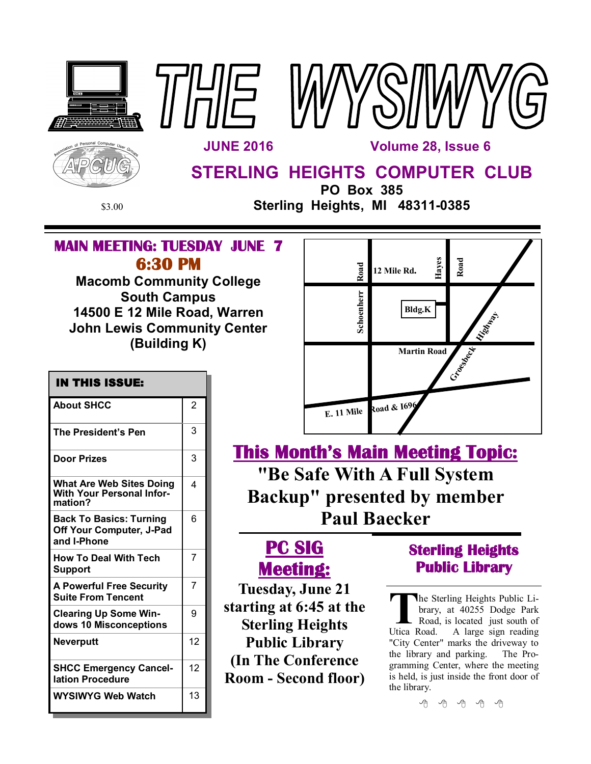





**STERLING HEIGHTS COMPUTER CLUB**

 **IN THIS ISSUE:** 

About SHCC 2

The President's Pen 13

**Door Prizes** 23

**What Are Web Sites Doing With Your Personal Infor-**

**Back To Basics: Turning Off Your Computer, J-Pad** 

**How To Deal With Tech** 

**A Powerful Free Security Suite From Tencent**

**Clearing Up Some Windows 10 Misconceptions**

**SHCC Emergency Cancel-**

**WYSIWYG Web Watch | 13** 

**Neverputt** 12

**lation Procedure**

**mation?**

**Support**

**and I-Phone**

**PO Box 385**

\$3.00 **Sterling Heights, MI 48311-0385**

## **MAIN MEETING: TUESDAY JUNE 7 6:30 PM**

**Macomb Community College South Campus 14500 E 12 Mile Road, Warren John Lewis Community Center (Building K)**

4

6

7

7

9

12

| Road       | Hayes<br>12 Mile Rd. | Road              |
|------------|----------------------|-------------------|
| Schoenherr | Bldg.K               | <b>Liverproof</b> |
|            | <b>Martin Road</b>   | Cr. de Meck       |
| E. 11 Mile | Road & 1696          |                   |

**This Month's Main Meeting Topic: "Be Safe With A Full System Backup" presented by member Paul Baecker**

# **PC SIG Meeting:**

**Tuesday, June 21 starting at 6:45 at the Sterling Heights Public Library (In The Conference Room - Second floor)**

## **Sterling Heights Public Library**

The Sterling Heights Public Library, at 40255 Dodge Park<br>
Road, is located just south of<br>
Utica Road. A large sign reading he Sterling Heights Public Library, at 40255 Dodge Park Road, is located just south of "City Center" marks the driveway to the library and parking. The Programming Center, where the meeting is held, is just inside the front door of the library.

中 伯 伯 伯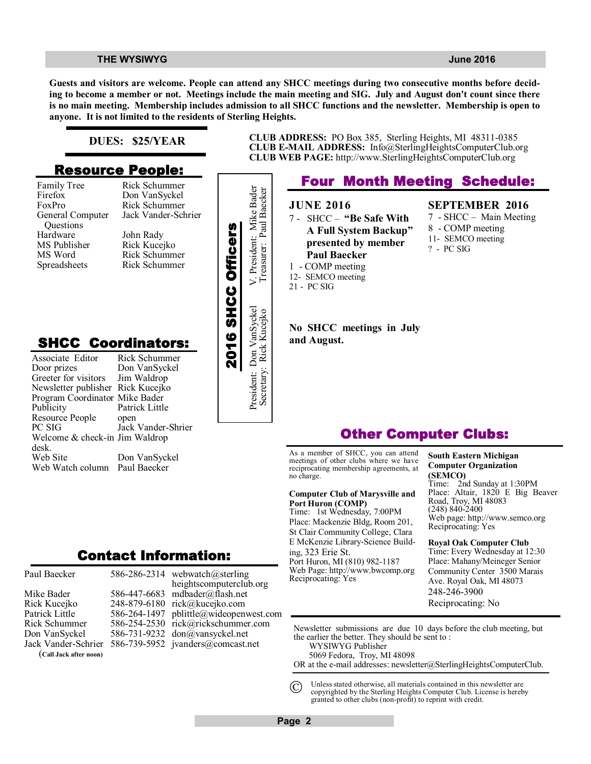**Guests and visitors are welcome. People can attend any SHCC meetings during two consecutive months before deciding to become a member or not. Meetings include the main meeting and SIG. July and August don't count since there is no main meeting. Membership includes admission to all SHCC functions and the newsletter. Membership is open to anyone. It is not limited to the residents of Sterling Heights.**

### **DUES: \$25/YEAR**

## **Resource People:**

Family Tree Firefox FoxPro General Computer Questions Hardware MS Publisher MS Word Spreadsheets

Rick Schummer

## **SHCC Coordinators:**

| гашну ттес<br>Firefox<br>FoxPro<br>General Computer                 | кил элишшил<br>Don VanSyckel<br>Rick Schummer<br>Jack Vander-Schrier |                    | President: Mike Bader    |
|---------------------------------------------------------------------|----------------------------------------------------------------------|--------------------|--------------------------|
| Questions                                                           |                                                                      |                    |                          |
| Hardware<br>MS Publisher                                            | John Rady<br>Rick Kucejko                                            | 2016 SHCC Officers |                          |
| MS Word                                                             | Rick Schummer                                                        |                    |                          |
| Spreadsheets                                                        | Rick Schummer                                                        |                    |                          |
|                                                                     |                                                                      |                    |                          |
|                                                                     |                                                                      |                    |                          |
|                                                                     |                                                                      |                    |                          |
|                                                                     |                                                                      |                    | President: Don VanSyckel |
|                                                                     |                                                                      |                    |                          |
|                                                                     |                                                                      |                    |                          |
| <b>SHCC Coordinators:</b>                                           |                                                                      |                    |                          |
| Associate Editor                                                    | Rick Schummer                                                        |                    |                          |
| Door prizes                                                         | Don VanSyckel                                                        |                    |                          |
| Greeter for visitors                                                | Jim Waldrop                                                          |                    |                          |
| Newsletter publisher Rick Kucejko<br>Program Coordinator Mike Bader |                                                                      |                    |                          |
| Publicity                                                           | Patrick Little                                                       |                    |                          |
| Resource People                                                     | open                                                                 |                    |                          |
| PC SIG                                                              | Jack Vander-Shrier                                                   |                    |                          |
| Welcome & check-in Jim Waldrop                                      |                                                                      |                    |                          |
| desk.                                                               |                                                                      |                    |                          |
| Web Site                                                            | Don VanSyckel                                                        |                    |                          |
| Web Watch column                                                    | Paul Baecker                                                         |                    |                          |
|                                                                     |                                                                      |                    |                          |
|                                                                     |                                                                      |                    |                          |
|                                                                     |                                                                      |                    |                          |
|                                                                     |                                                                      |                    |                          |
|                                                                     |                                                                      |                    |                          |
|                                                                     |                                                                      |                    |                          |
|                                                                     | <b>Contact Information:</b>                                          |                    |                          |
|                                                                     |                                                                      |                    |                          |

#### **CLUB ADDRESS:** PO Box 385, Sterling Heights, MI 48311-0385 **CLUB E-MAIL ADDRESS:** Info@SterlingHeightsComputerClub.org **CLUB WEB PAGE:** http://www.SterlingHeightsComputerClub.org

## **Four Month Meeting Schedule: JUNE 2016** 7 - SHCC – **"Be Safe With A Full System Backup" presented by member Paul Baecker** 1 - COMP meeting 12- SEMCO meeting 21 - PC SIG **No SHCC meetings in July and August. SEPTEMBER 2016** 7 - SHCC – Main Meeting 8 - COMP meeting 11- SEMCO meeting ? - PC SIG Secretary: Rick Kucejko Treasurer: Paul Baecker

## **Other Computer Clubs:**

As a member of SHCC, you can attend meetings of other clubs where we have reciprocating membership agreements, at no charge.

#### **Computer Club of Marysville and Port Huron (COMP)**

Time: 1st Wednesday, 7:00PM Place: Mackenzie Bldg, Room 201, St Clair Community College, Clara E McKenzie Library-Science Building, 323 Erie St. Port Huron, MI (810) 982-1187 Web Page: http://www.bwcomp.org Reciprocating: Yes

**South Eastern Michigan Computer Organization (SEMCO)** 2nd Sunday at 1:30PM Place: Altair, 1820 E Big Beaver Road, Troy, MI 48083 (248) 840-2400 Web page: http://www.semco.org Reciprocating: Yes

**Royal Oak Computer Club** Time: Every Wednesday at 12:30 Place: Mahany/Meineger Senior Community Center 3500 Marais Ave. Royal Oak, MI 48073 248-246-3900 Reciprocating: No

Newsletter submissions are due 10 days before the club meeting, but the earlier the better. They should be sent to : WYSIWYG Publisher

5069 Fedora, Troy, MI 48098

OR at the e-mail addresses: newsletter@SterlingHeightsComputerClub.

Unless stated otherwise, all materials contained in this newsletter are copyrighted by the Sterling Heights Computer Club. License is hereby granted to other clubs (non-profit) to reprint with credit.  $\odot$ 

Mike Bader Rick Kucejko Patrick Little Rick Schummer Don VanSyckel Jack Vander-Schrier

Paul Baecker

(**Call Jack after noon)**

586-286-2314 webwatch@sterling 586-447-6683 mdbader@flash.net 248-879-6180 rick@kucejko.com 586-264-1497 pblittle@wideopenwest.com 586-254-2530 rick@rickschummer.com 586-731-9232 don@vansyckel.net 586-739-5952 jvanders@comcast.net heightscomputerclub.org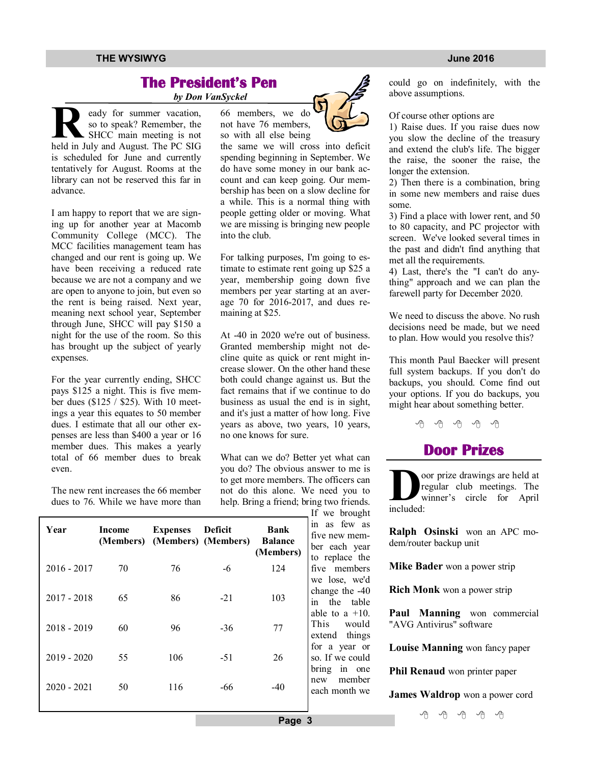## **The President's Pen**

 *by Don VanSyckel*

**R**so to speak? Remember, the SHCC main meeting is not held in July and August. The PC SIG eady for summer vacation, so to speak? Remember, the SHCC main meeting is not is scheduled for June and currently tentatively for August. Rooms at the library can not be reserved this far in advance.

I am happy to report that we are signing up for another year at Macomb Community College (MCC). The MCC facilities management team has changed and our rent is going up. We have been receiving a reduced rate because we are not a company and we are open to anyone to join, but even so the rent is being raised. Next year, meaning next school year, September through June, SHCC will pay \$150 a night for the use of the room. So this has brought up the subject of yearly expenses.

For the year currently ending, SHCC pays \$125 a night. This is five member dues (\$125 / \$25). With 10 meetings a year this equates to 50 member dues. I estimate that all our other expenses are less than \$400 a year or 16 member dues. This makes a yearly total of 66 member dues to break even.

The new rent increases the 66 member dues to 76. While we have more than 66 members, we do not have 76 members, so with all else being

the same we will cross into deficit spending beginning in September. We do have some money in our bank account and can keep going. Our membership has been on a slow decline for a while. This is a normal thing with people getting older or moving. What we are missing is bringing new people into the club.

For talking purposes, I'm going to estimate to estimate rent going up \$25 a year, membership going down five members per year starting at an average 70 for 2016-2017, and dues remaining at \$25.

At -40 in 2020 we're out of business. Granted membership might not decline quite as quick or rent might increase slower. On the other hand these both could change against us. But the fact remains that if we continue to do business as usual the end is in sight, and it's just a matter of how long. Five years as above, two years, 10 years, no one knows for sure.

What can we do? Better yet what can you do? The obvious answer to me is to get more members. The officers can not do this alone. We need you to help. Bring a friend; bring two friends. If we brought

| Year          | Income | <b>Expenses</b><br>(Members) (Members) (Members) | Deficit | <b>Bank</b><br><b>Balance</b><br>(Members) | $\mathbf{v}$ or $\mathbf{v}$<br>in as few as<br>five new mem-<br>ber each year<br>to replace the |
|---------------|--------|--------------------------------------------------|---------|--------------------------------------------|--------------------------------------------------------------------------------------------------|
| $2016 - 2017$ | 70     | 76                                               | -6      | 124                                        | five members<br>we lose, we'd                                                                    |
| $2017 - 2018$ | 65     | 86                                               | $-21$   | 103                                        | change the -40<br>in<br>the table<br>able to a $+10$ .                                           |
| $2018 - 2019$ | 60     | 96                                               | $-36$   | 77                                         | This<br>would<br>extend things                                                                   |
| $2019 - 2020$ | 55     | 106                                              | $-51$   | 26                                         | for a year or<br>so. If we could<br>bring<br>in one                                              |
| $2020 - 2021$ | 50     | 116                                              | -66     | $-40$                                      | member<br>new<br>each month we                                                                   |

could go on indefinitely, with the above assumptions.

### Of course other options are

1) Raise dues. If you raise dues now you slow the decline of the treasury and extend the club's life. The bigger the raise, the sooner the raise, the longer the extension.

2) Then there is a combination, bring in some new members and raise dues some.

3) Find a place with lower rent, and 50 to 80 capacity, and PC projector with screen. We've looked several times in the past and didn't find anything that met all the requirements.

4) Last, there's the "I can't do anything" approach and we can plan the farewell party for December 2020.

We need to discuss the above. No rush decisions need be made, but we need to plan. How would you resolve this?

This month Paul Baecker will present full system backups. If you don't do backups, you should. Come find out your options. If you do backups, you might hear about something better.



**D**<sup>c</sup><br>
included: oor prize drawings are held at regular club meetings. The winner's circle for April

**Ralph Osinski** won an APC modem/router backup unit

**Mike Bader** won a power strip

**Rich Monk** won a power strip

Paul Manning won commercial "AVG Antivirus" software

**Louise Manning** won fancy paper

**Phil Renaud** won printer paper

**James Waldrop** won a power cord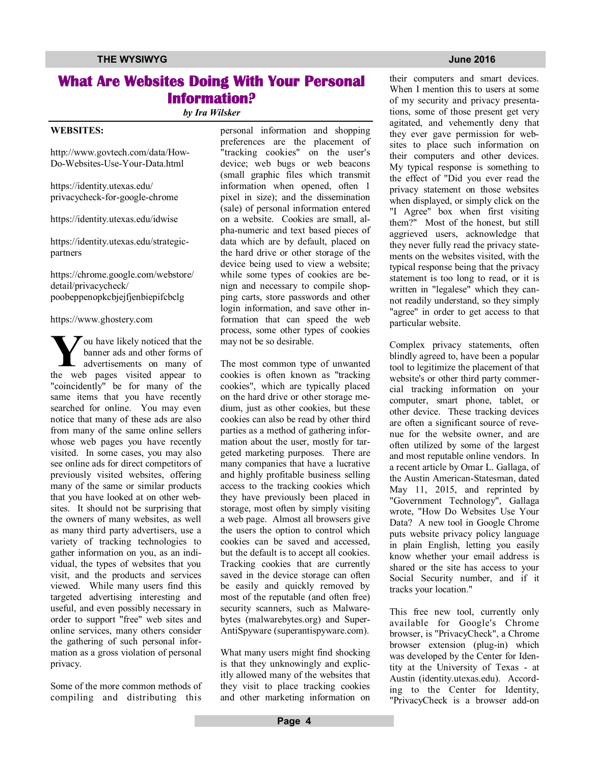## **What Are Websites Doing With Your Personal Information?**

*by Ira Wilsker*

### **WEBSITES:**

http://www.govtech.com/data/How-Do-Websites-Use-Your-Data.html

https://identity.utexas.edu/ privacycheck-for-google-chrome

https://identity.utexas.edu/idwise

https://identity.utexas.edu/strategicpartners

https://chrome.google.com/webstore/ detail/privacycheck/ poobeppenopkcbjejfjenbiepifcbclg

### https://www.ghostery.com

**Y**ou have likely noticed that the<br>
banner ads and other forms of<br>
advertisements on many of<br>
the web pages visited appear to  $\tau$  ou have likely noticed that the banner ads and other forms of advertisements on many of "coincidently" be for many of the same items that you have recently searched for online. You may even notice that many of these ads are also from many of the same online sellers whose web pages you have recently visited. In some cases, you may also see online ads for direct competitors of previously visited websites, offering many of the same or similar products that you have looked at on other websites. It should not be surprising that the owners of many websites, as well as many third party advertisers, use a variety of tracking technologies to gather information on you, as an individual, the types of websites that you visit, and the products and services viewed. While many users find this targeted advertising interesting and useful, and even possibly necessary in order to support "free" web sites and online services, many others consider the gathering of such personal information as a gross violation of personal privacy.

Some of the more common methods of compiling and distributing this personal information and shopping preferences are the placement of "tracking cookies" on the user's device; web bugs or web beacons (small graphic files which transmit information when opened, often 1 pixel in size); and the dissemination (sale) of personal information entered on a website. Cookies are small, alpha-numeric and text based pieces of data which are by default, placed on the hard drive or other storage of the device being used to view a website; while some types of cookies are benign and necessary to compile shopping carts, store passwords and other login information, and save other information that can speed the web process, some other types of cookies may not be so desirable.

The most common type of unwanted cookies is often known as "tracking cookies", which are typically placed on the hard drive or other storage medium, just as other cookies, but these cookies can also be read by other third parties as a method of gathering information about the user, mostly for targeted marketing purposes. There are many companies that have a lucrative and highly profitable business selling access to the tracking cookies which they have previously been placed in storage, most often by simply visiting a web page. Almost all browsers give the users the option to control which cookies can be saved and accessed, but the default is to accept all cookies. Tracking cookies that are currently saved in the device storage can often be easily and quickly removed by most of the reputable (and often free) security scanners, such as Malwarebytes (malwarebytes.org) and Super-AntiSpyware (superantispyware.com).

What many users might find shocking is that they unknowingly and explicitly allowed many of the websites that they visit to place tracking cookies and other marketing information on

their computers and smart devices. When I mention this to users at some of my security and privacy presentations, some of those present get very agitated, and vehemently deny that they ever gave permission for websites to place such information on their computers and other devices. My typical response is something to the effect of "Did you ever read the privacy statement on those websites when displayed, or simply click on the "I Agree" box when first visiting them?" Most of the honest, but still aggrieved users, acknowledge that they never fully read the privacy statements on the websites visited, with the typical response being that the privacy statement is too long to read, or it is written in "legalese" which they cannot readily understand, so they simply "agree" in order to get access to that particular website.

Complex privacy statements, often blindly agreed to, have been a popular tool to legitimize the placement of that website's or other third party commercial tracking information on your computer, smart phone, tablet, or other device. These tracking devices are often a significant source of revenue for the website owner, and are often utilized by some of the largest and most reputable online vendors. In a recent article by Omar L. Gallaga, of the Austin American-Statesman, dated May 11, 2015, and reprinted by "Government Technology", Gallaga wrote, "How Do Websites Use Your Data? A new tool in Google Chrome puts website privacy policy language in plain English, letting you easily know whether your email address is shared or the site has access to your Social Security number, and if it tracks your location."

This free new tool, currently only available for Google's Chrome browser, is "PrivacyCheck", a Chrome browser extension (plug-in) which was developed by the Center for Identity at the University of Texas - at Austin (identity.utexas.edu). According to the Center for Identity, "PrivacyCheck is a browser add-on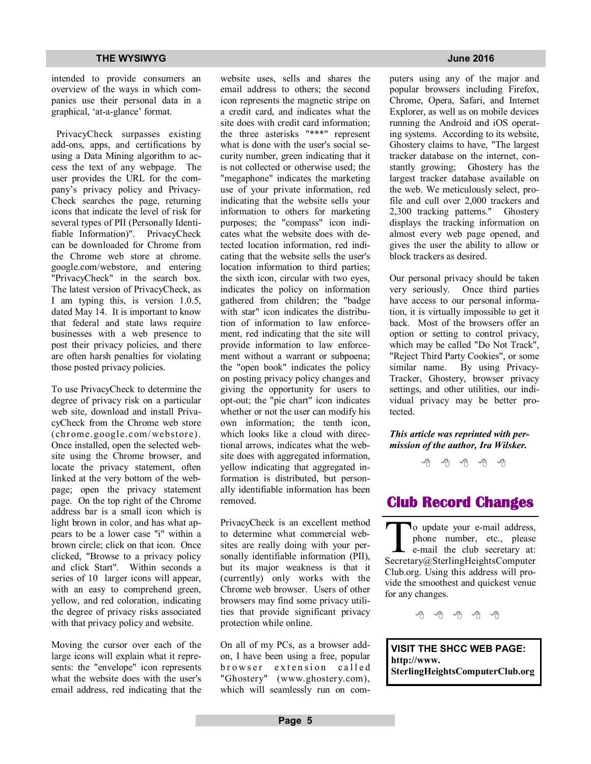intended to provide consumers an overview of the ways in which companies use their personal data in a graphical, 'at-a-glance' format.

 PrivacyCheck surpasses existing add-ons, apps, and certifications by using a Data Mining algorithm to access the text of any webpage. The user provides the URL for the company's privacy policy and Privacy-Check searches the page, returning icons that indicate the level of risk for several types of PII (Personally Identifiable Information)". PrivacyCheck can be downloaded for Chrome from the Chrome web store at chrome. google.com/webstore, and entering "PrivacyCheck" in the search box. The latest version of PrivacyCheck, as I am typing this, is version 1.0.5, dated May 14. It is important to know that federal and state laws require businesses with a web presence to post their privacy policies, and there are often harsh penalties for violating those posted privacy policies.

To use PrivacyCheck to determine the degree of privacy risk on a particular web site, download and install PrivacyCheck from the Chrome web store (chrome.google.com/ webstore). Once installed, open the selected website using the Chrome browser, and locate the privacy statement, often linked at the very bottom of the webpage; open the privacy statement page. On the top right of the Chrome address bar is a small icon which is light brown in color, and has what appears to be a lower case "i" within a brown circle; click on that icon. Once clicked, "Browse to a privacy policy and click Start". Within seconds a series of 10 larger icons will appear, with an easy to comprehend green, yellow, and red coloration, indicating the degree of privacy risks associated with that privacy policy and website.

Moving the cursor over each of the large icons will explain what it represents: the "envelope" icon represents what the website does with the user's email address, red indicating that the website uses, sells and shares the email address to others; the second icon represents the magnetic stripe on a credit card, and indicates what the site does with credit card information; the three asterisks "\*\*\*" represent what is done with the user's social security number, green indicating that it is not collected or otherwise used; the "megaphone" indicates the marketing use of your private information, red indicating that the website sells your information to others for marketing purposes; the "compass" icon indicates what the website does with detected location information, red indicating that the website sells the user's location information to third parties; the sixth icon, circular with two eyes, indicates the policy on information gathered from children; the "badge with star" icon indicates the distribution of information to law enforcement, red indicating that the site will provide information to law enforcement without a warrant or subpoena; the "open book" indicates the policy on posting privacy policy changes and giving the opportunity for users to opt-out; the "pie chart" icon indicates whether or not the user can modify his own information; the tenth icon, which looks like a cloud with directional arrows, indicates what the website does with aggregated information, yellow indicating that aggregated information is distributed, but personally identifiable information has been removed.

PrivacyCheck is an excellent method to determine what commercial websites are really doing with your personally identifiable information (PII), but its major weakness is that it (currently) only works with the Chrome web browser. Users of other browsers may find some privacy utilities that provide significant privacy protection while online.

On all of my PCs, as a browser addon, I have been using a free, popular browser extension called "Ghostery" (www.ghostery.com), which will seamlessly run on com-

puters using any of the major and popular browsers including Firefox, Chrome, Opera, Safari, and Internet Explorer, as well as on mobile devices running the Android and iOS operating systems. According to its website, Ghostery claims to have, "The largest tracker database on the internet, constantly growing; Ghostery has the largest tracker database available on the web. We meticulously select, profile and cull over 2,000 trackers and 2,300 tracking patterns." Ghostery displays the tracking information on almost every web page opened, and gives the user the ability to allow or block trackers as desired.

Our personal privacy should be taken very seriously. Once third parties have access to our personal information, it is virtually impossible to get it back. Most of the browsers offer an option or setting to control privacy, which may be called "Do Not Track", "Reject Third Party Cookies", or some similar name. By using Privacy-Tracker, Ghostery, browser privacy settings, and other utilities, our individual privacy may be better protected.

### *This article was reprinted with permission of the author, Ira Wilsker.*

一个 一个 一个

## **Club Record Changes**

To update your e-mail address,<br>phone number, etc., please<br>e-mail the club secretary at:<br>Secretary@SterlingHeightsComputer o update your e-mail address, phone number, etc., please e-mail the club secretary at: Club.org. Using this address will provide the smoothest and quickest venue for any changes.

平 平 平 平 平

**VISIT THE SHCC WEB PAGE: http://www. SterlingHeightsComputerClub.org**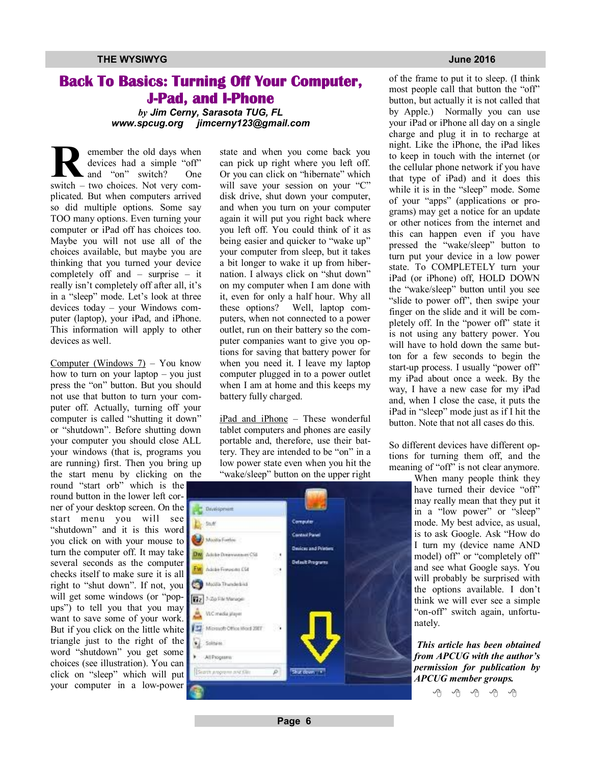## **Back To Basics: Turning Off Your Computer, J-Pad, and I-Phone**

*by Jim Cerny, Sarasota TUG, FL www.spcug.org jimcerny123@gmail.com* 

**R**semember the old days when<br>
devices had a simple "off"<br>
and "on" switch? One<br>
switch – two choices. Not very comemember the old days when devices had a simple "off" and "on" switch? One plicated. But when computers arrived so did multiple options. Some say TOO many options. Even turning your computer or iPad off has choices too. Maybe you will not use all of the choices available, but maybe you are thinking that you turned your device completely off and – surprise – it really isn't completely off after all, it's in a "sleep" mode. Let's look at three devices today – your Windows computer (laptop), your iPad, and iPhone. This information will apply to other devices as well.

Computer (Windows 7) – You know how to turn on your laptop – you just press the "on" button. But you should not use that button to turn your computer off. Actually, turning off your computer is called "shutting it down" or "shutdown". Before shutting down your computer you should close ALL your windows (that is, programs you are running) first. Then you bring up the start menu by clicking on the

round "start orb" which is the round button in the lower left corner of your desktop screen. On the start menu you will see "shutdown" and it is this word you click on with your mouse to turn the computer off. It may take  $\log_{\theta}$   $\Delta$  to the Decrease of Co several seconds as the computer checks itself to make sure it is all right to "shut down". If not, you will get some windows (or "popups") to tell you that you may want to save some of your work. But if you click on the little white triangle just to the right of the word "shutdown" you get some choices (see illustration). You can click on "sleep" which will put your computer in a low-power

state and when you come back you can pick up right where you left off. Or you can click on "hibernate" which will save your session on your "C" disk drive, shut down your computer, and when you turn on your computer again it will put you right back where you left off. You could think of it as being easier and quicker to "wake up" your computer from sleep, but it takes a bit longer to wake it up from hibernation. I always click on "shut down" on my computer when I am done with it, even for only a half hour. Why all these options? Well, laptop computers, when not connected to a power outlet, run on their battery so the computer companies want to give you options for saving that battery power for when you need it. I leave my laptop computer plugged in to a power outlet when I am at home and this keeps my battery fully charged.

iPad and iPhone – These wonderful tablet computers and phones are easily portable and, therefore, use their battery. They are intended to be "on" in a low power state even when you hit the "wake/sleep" button on the upper right



of the frame to put it to sleep. (I think most people call that button the "off" button, but actually it is not called that by Apple.) Normally you can use your iPad or iPhone all day on a single charge and plug it in to recharge at night. Like the iPhone, the iPad likes to keep in touch with the internet (or the cellular phone network if you have that type of iPad) and it does this while it is in the "sleep" mode. Some of your "apps" (applications or programs) may get a notice for an update or other notices from the internet and this can happen even if you have pressed the "wake/sleep" button to turn put your device in a low power state. To COMPLETELY turn your iPad (or iPhone) off, HOLD DOWN the "wake/sleep" button until you see "slide to power off", then swipe your finger on the slide and it will be completely off. In the "power off" state it is not using any battery power. You will have to hold down the same button for a few seconds to begin the start-up process. I usually "power off" my iPad about once a week. By the way, I have a new case for my iPad and, when I close the case, it puts the iPad in "sleep" mode just as if I hit the button. Note that not all cases do this.

So different devices have different options for turning them off, and the meaning of "off" is not clear anymore.

> When many people think they have turned their device "off" may really mean that they put it in a "low power" or "sleep" mode. My best advice, as usual, is to ask Google. Ask "How do I turn my (device name AND model) off" or "completely off" and see what Google says. You will probably be surprised with the options available. I don't think we will ever see a simple "on-off" switch again, unfortunately.

> *This article has been obtained from APCUG with the author's permission for publication by APCUG member groups.*

> > e e e e e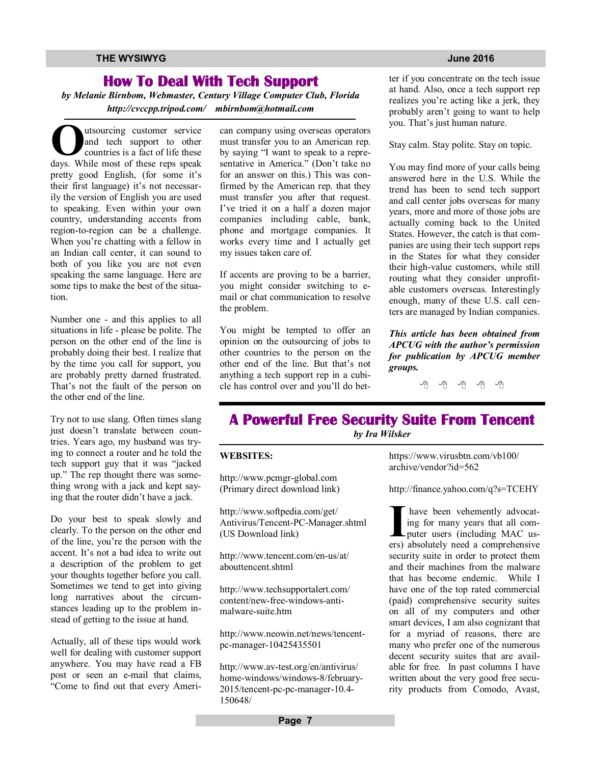## **How To Deal With Tech Support**

*by Melanie Birnbom, Webmaster, Century Village Computer Club, Florida http://cvccpp.tripod.com/ mbirnbom@hotmail.com*

**O**dusourcing customer service<br>
and tech support to other<br>
countries is a fact of life these<br>
days. While most of these reps speak utsourcing customer service and tech support to other countries is a fact of life these pretty good English, (for some it's their first language) it's not necessarily the version of English you are used to speaking. Even within your own country, understanding accents from region-to-region can be a challenge. When you're chatting with a fellow in an Indian call center, it can sound to both of you like you are not even speaking the same language. Here are some tips to make the best of the situation.

Number one - and this applies to all situations in life - please be polite. The person on the other end of the line is probably doing their best. I realize that by the time you call for support, you are probably pretty darned frustrated. That's not the fault of the person on the other end of the line.

Try not to use slang. Often times slang just doesn't translate between countries. Years ago, my husband was trying to connect a router and he told the tech support guy that it was "jacked up." The rep thought there was something wrong with a jack and kept saying that the router didn't have a jack.

Do your best to speak slowly and clearly. To the person on the other end of the line, you're the person with the accent. It's not a bad idea to write out a description of the problem to get your thoughts together before you call. Sometimes we tend to get into giving long narratives about the circumstances leading up to the problem instead of getting to the issue at hand.

Actually, all of these tips would work well for dealing with customer support anywhere. You may have read a FB post or seen an e-mail that claims, "Come to find out that every Ameri-

can company using overseas operators must transfer you to an American rep. by saying "I want to speak to a representative in America." (Don't take no for an answer on this.) This was confirmed by the American rep. that they must transfer you after that request. I've tried it on a half a dozen major companies including cable, bank, phone and mortgage companies. It works every time and I actually get my issues taken care of.

If accents are proving to be a barrier, you might consider switching to email or chat communication to resolve the problem.

You might be tempted to offer an opinion on the outsourcing of jobs to other countries to the person on the other end of the line. But that's not anything a tech support rep in a cubicle has control over and you'll do bet-

ter if you concentrate on the tech issue at hand. Also, once a tech support rep realizes you're acting like a jerk, they probably aren't going to want to help you. That's just human nature.

Stay calm. Stay polite. Stay on topic.

You may find more of your calls being answered here in the U.S. While the trend has been to send tech support and call center jobs overseas for many years, more and more of those jobs are actually coming back to the United States. However, the catch is that companies are using their tech support reps in the States for what they consider their high-value customers, while still routing what they consider unprofitable customers overseas. Interestingly enough, many of these U.S. call centers are managed by Indian companies.

*This article has been obtained from APCUG with the author's permission for publication by APCUG member groups.*

## **A Powerful Free Security Suite From Tencent**  *by Ira Wilsker*

### **WEBSITES:**

http://www.pcmgr-global.com (Primary direct download link)

http://www.softpedia.com/get/ Antivirus/Tencent-PC-Manager.shtml (US Download link)

http://www.tencent.com/en-us/at/ abouttencent shtml

http://www.techsupportalert.com/ content/new-free-windows-antimalware-suite.htm

http://www.neowin.net/news/tencentpc-manager-10425435501

http://www.av-test.org/en/antivirus/ home-windows/windows-8/february-2015/tencent-pc-pc-manager-10.4- 150648/

https://www.virusbtn.com/vb100/ archive/vendor?id=562

http://finance.yahoo.com/q?s=TCEHY

I have been vehemently advocating for many years that all computer users (including MAC users) absolutely need a comprehensive have been vehemently advocating for many years that all computer users (including MAC ussecurity suite in order to protect them and their machines from the malware that has become endemic. While I have one of the top rated commercial (paid) comprehensive security suites on all of my computers and other smart devices, I am also cognizant that for a myriad of reasons, there are many who prefer one of the numerous decent security suites that are available for free. In past columns I have written about the very good free security products from Comodo, Avast,

**Page 7**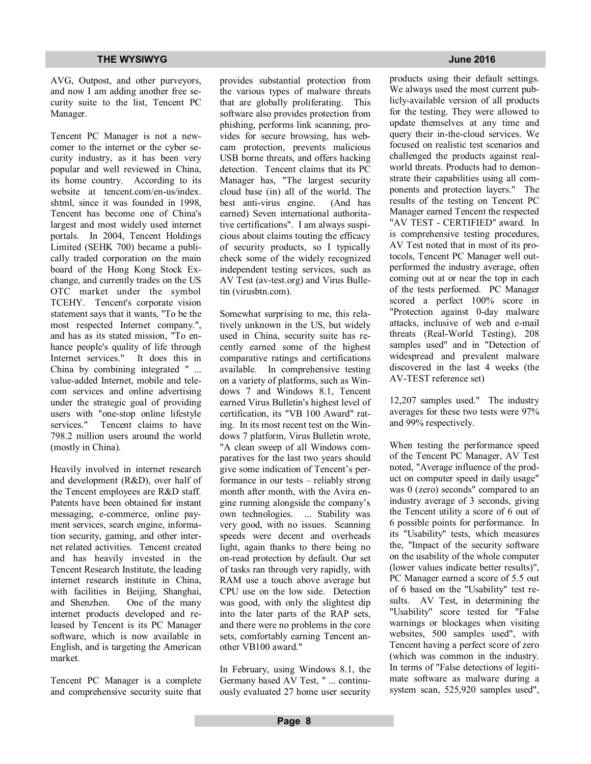AVG, Outpost, and other purveyors, and now I am adding another free security suite to the list, Tencent PC Manager.

Tencent PC Manager is not a newcomer to the internet or the cyber security industry, as it has been very popular and well reviewed in China, its home country. According to its website at tencent.com/en-us/index. shtml, since it was founded in 1998, Tencent has become one of China's largest and most widely used internet portals. In 2004, Tencent Holdings Limited (SEHK 700) became a publically traded corporation on the main board of the Hong Kong Stock Exchange, and currently trades on the US OTC market under the symbol TCEHY. Tencent's corporate vision statement says that it wants, "To be the most respected Internet company.", and has as its stated mission, "To enhance people's quality of life through Internet services." It does this in China by combining integrated " ... value-added Internet, mobile and telecom services and online advertising under the strategic goal of providing users with "one-stop online lifestyle services." Tencent claims to have 798.2 million users around the world (mostly in China).

Heavily involved in internet research and development (R&D), over half of the Tencent employees are R&D staff. Patents have been obtained for instant messaging, e-commerce, online payment services, search engine, information security, gaming, and other internet related activities. Tencent created and has heavily invested in the Tencent Research Institute, the leading internet research institute in China, with facilities in Beijing, Shanghai, and Shenzhen. One of the many internet products developed and released by Tencent is its PC Manager software, which is now available in English, and is targeting the American market.

Tencent PC Manager is a complete and comprehensive security suite that

provides substantial protection from the various types of malware threats that are globally proliferating. This software also provides protection from phishing, performs link scanning, provides for secure browsing, has webcam protection, prevents malicious USB borne threats, and offers hacking detection. Tencent claims that its PC Manager has, "The largest security cloud base (in) all of the world. The best anti-virus engine. (And has earned) Seven international authoritative certifications". I am always suspicious about claims touting the efficacy of security products, so I typically check some of the widely recognized independent testing services, such as AV Test (av-test.org) and Virus Bulletin (virusbtn.com).

Somewhat surprising to me, this relatively unknown in the US, but widely used in China, security suite has recently earned some of the highest comparative ratings and certifications available. In comprehensive testing on a variety of platforms, such as Windows 7 and Windows 8.1, Tencent earned Virus Bulletin's highest level of certification, its "VB 100 Award" rating. In its most recent test on the Windows 7 platform, Virus Bulletin wrote, "A clean sweep of all Windows comparatives for the last two years should give some indication of Tencent's performance in our tests – reliably strong month after month, with the Avira engine running alongside the company's own technologies. ... Stability was very good, with no issues. Scanning speeds were decent and overheads light, again thanks to there being no on-read protection by default. Our set of tasks ran through very rapidly, with RAM use a touch above average but CPU use on the low side. Detection was good, with only the slightest dip into the later parts of the RAP sets, and there were no problems in the core sets, comfortably earning Tencent another VB100 award."

In February, using Windows 8.1, the Germany based AV Test, " ... continuously evaluated 27 home user security products using their default settings. We always used the most current publicly-available version of all products for the testing. They were allowed to update themselves at any time and query their in-the-cloud services. We focused on realistic test scenarios and challenged the products against realworld threats. Products had to demonstrate their capabilities using all components and protection layers." The results of the testing on Tencent PC Manager earned Tencent the respected "AV TEST - CERTIFIED" award. In is comprehensive testing procedures, AV Test noted that in most of its protocols, Tencent PC Manager well outperformed the industry average, often coming out at or near the top in each of the tests performed. PC Manager scored a perfect 100% score in "Protection against 0-day malware attacks, inclusive of web and e-mail threats (Real-World Testing), 208

samples used" and in "Detection of widespread and prevalent malware discovered in the last 4 weeks (the AV-TEST reference set)

12,207 samples used." The industry averages for these two tests were 97% and 99% respectively.

When testing the performance speed of the Tencent PC Manager, AV Test noted, "Average influence of the product on computer speed in daily usage" was 0 (zero) seconds" compared to an industry average of 3 seconds, giving the Tencent utility a score of 6 out of 6 possible points for performance. In its "Usability" tests, which measures the, "Impact of the security software on the usability of the whole computer (lower values indicate better results)", PC Manager earned a score of 5.5 out of 6 based on the "Usability" test results. AV Test, in determining the "Usability" score tested for "False warnings or blockages when visiting websites, 500 samples used", with Tencent having a perfect score of zero (which was common in the industry. In terms of "False detections of legitimate software as malware during a system scan, 525,920 samples used",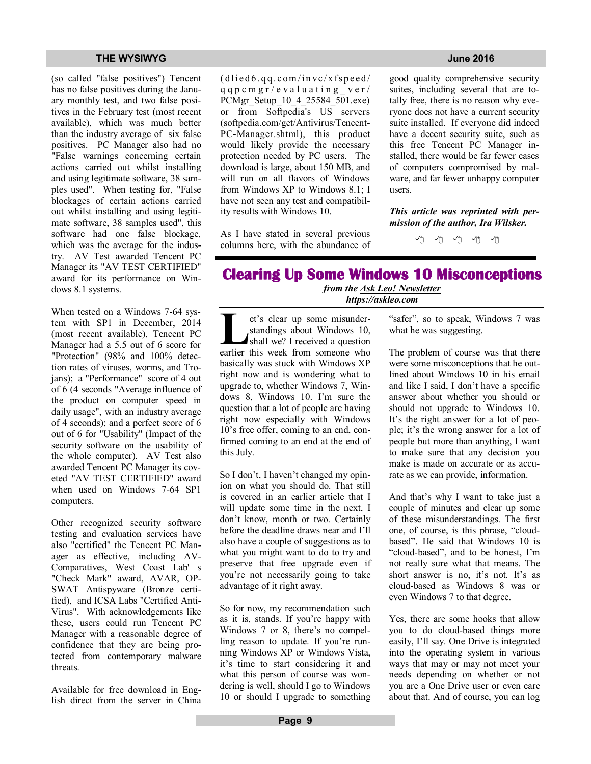(so called "false positives") Tencent has no false positives during the January monthly test, and two false positives in the February test (most recent available), which was much better than the industry average of six false positives. PC Manager also had no "False warnings concerning certain actions carried out whilst installing and using legitimate software, 38 samples used". When testing for, "False blockages of certain actions carried out whilst installing and using legitimate software, 38 samples used", this software had one false blockage, which was the average for the industry. AV Test awarded Tencent PC Manager its "AV TEST CERTIFIED" award for its performance on Windows 8.1 systems.

When tested on a Windows 7-64 system with SP1 in December, 2014 (most recent available), Tencent PC Manager had a 5.5 out of 6 score for "Protection" (98% and 100% detection rates of viruses, worms, and Trojans); a "Performance" score of 4 out of 6 (4 seconds "Average influence of the product on computer speed in daily usage", with an industry average of 4 seconds); and a perfect score of 6 out of 6 for "Usability" (Impact of the security software on the usability of the whole computer). AV Test also awarded Tencent PC Manager its coveted "AV TEST CERTIFIED" award when used on Windows 7-64 SP1 computers.

Other recognized security software testing and evaluation services have also "certified" the Tencent PC Manager as effective, including AV-Comparatives, West Coast Lab' s "Check Mark" award, AVAR, OP-SWAT Antispyware (Bronze certified), and ICSA Labs "Certified Anti-Virus". With acknowledgements like these, users could run Tencent PC Manager with a reasonable degree of confidence that they are being protected from contemporary malware threats.

Available for free download in English direct from the server in China  $(d \text{lied} 6. qq.com/invc/xf speed/$  $q q p c m g r / e v a l u a t i n g v e r /$ PCMgr\_Setup\_10\_4\_25584\_501.exe) or from Softpedia's US servers (softpedia.com/get/Antivirus/Tencent-PC-Manager.shtml), this product would likely provide the necessary protection needed by PC users. The download is large, about 150 MB, and will run on all flavors of Windows from Windows  $XP$  to Windows  $8.1 \cdot I$ have not seen any test and compatibility results with Windows 10.

As I have stated in several previous columns here, with the abundance of

good quality comprehensive security suites, including several that are totally free, there is no reason why everyone does not have a current security suite installed. If everyone did indeed have a decent security suite, such as this free Tencent PC Manager installed, there would be far fewer cases of computers compromised by malware, and far fewer unhappy computer users.

*This article was reprinted with permission of the author, Ira Wilsker.*

丹 丹 丹

## **Clearing Up Some Windows 10 Misconceptions**  *from the Ask Leo! Newsletter https://askleo.com*

**L**<br>
et's clear up some misunder-<br>
standings about Windows 10,<br>
shall we? I received a question<br>
earlier this week from someone who et's clear up some misunderstandings about Windows 10, shall we? I received a question basically was stuck with Windows XP right now and is wondering what to upgrade to, whether Windows 7, Windows 8, Windows 10. I'm sure the question that a lot of people are having right now especially with Windows 10's free offer, coming to an end, confirmed coming to an end at the end of this July.

So I don't, I haven't changed my opinion on what you should do. That still is covered in an earlier article that I will update some time in the next, I don't know, month or two. Certainly before the deadline draws near and I'll also have a couple of suggestions as to what you might want to do to try and preserve that free upgrade even if you're not necessarily going to take advantage of it right away.

So for now, my recommendation such as it is, stands. If you're happy with Windows 7 or 8, there's no compelling reason to update. If you're running Windows XP or Windows Vista, it's time to start considering it and what this person of course was wondering is well, should I go to Windows 10 or should I upgrade to something

"safer", so to speak, Windows 7 was what he was suggesting.

The problem of course was that there were some misconceptions that he outlined about Windows 10 in his email and like I said, I don't have a specific answer about whether you should or should not upgrade to Windows 10. It's the right answer for a lot of people; it's the wrong answer for a lot of people but more than anything, I want to make sure that any decision you make is made on accurate or as accurate as we can provide, information.

And that's why I want to take just a couple of minutes and clear up some of these misunderstandings. The first one, of course, is this phrase, "cloudbased". He said that Windows 10 is "cloud-based", and to be honest, I'm not really sure what that means. The short answer is no, it's not. It's as cloud-based as Windows 8 was or even Windows 7 to that degree.

Yes, there are some hooks that allow you to do cloud-based things more easily, I'll say. One Drive is integrated into the operating system in various ways that may or may not meet your needs depending on whether or not you are a One Drive user or even care about that. And of course, you can log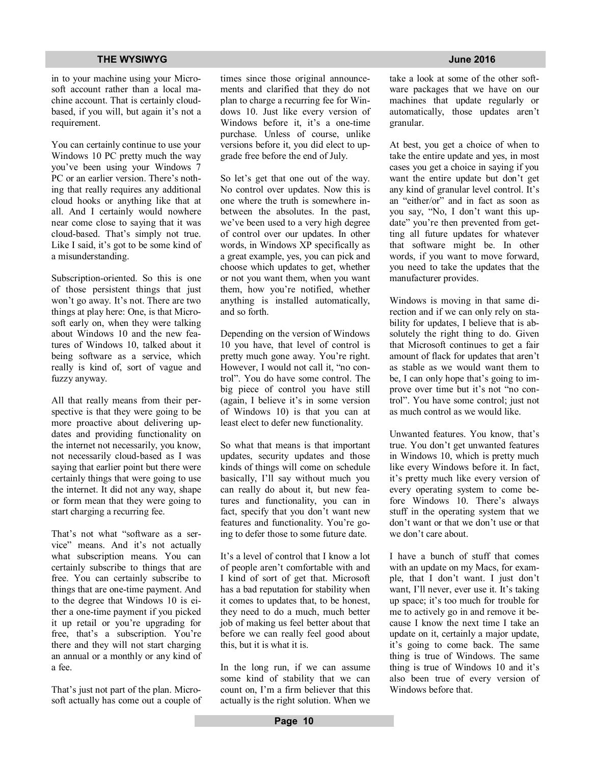in to your machine using your Microsoft account rather than a local machine account. That is certainly cloudbased, if you will, but again it's not a requirement.

You can certainly continue to use your Windows 10 PC pretty much the way you've been using your Windows 7 PC or an earlier version. There's nothing that really requires any additional cloud hooks or anything like that at all. And I certainly would nowhere near come close to saying that it was cloud-based. That's simply not true. Like I said, it's got to be some kind of a misunderstanding.

Subscription-oriented. So this is one of those persistent things that just won't go away. It's not. There are two things at play here: One, is that Microsoft early on, when they were talking about Windows 10 and the new features of Windows 10, talked about it being software as a service, which really is kind of, sort of vague and fuzzy anyway.

All that really means from their perspective is that they were going to be more proactive about delivering updates and providing functionality on the internet not necessarily, you know, not necessarily cloud-based as I was saying that earlier point but there were certainly things that were going to use the internet. It did not any way, shape or form mean that they were going to start charging a recurring fee.

That's not what "software as a service" means. And it's not actually what subscription means. You can certainly subscribe to things that are free. You can certainly subscribe to things that are one-time payment. And to the degree that Windows 10 is either a one-time payment if you picked it up retail or you're upgrading for free, that's a subscription. You're there and they will not start charging an annual or a monthly or any kind of a fee.

That's just not part of the plan. Microsoft actually has come out a couple of times since those original announcements and clarified that they do not plan to charge a recurring fee for Windows 10. Just like every version of Windows before it, it's a one-time purchase. Unless of course, unlike versions before it, you did elect to upgrade free before the end of July.

So let's get that one out of the way. No control over updates. Now this is one where the truth is somewhere inbetween the absolutes. In the past, we've been used to a very high degree of control over our updates. In other words, in Windows XP specifically as a great example, yes, you can pick and choose which updates to get, whether or not you want them, when you want them, how you're notified, whether anything is installed automatically, and so forth.

Depending on the version of Windows 10 you have, that level of control is pretty much gone away. You're right. However, I would not call it, "no control". You do have some control. The big piece of control you have still (again, I believe it's in some version of Windows 10) is that you can at least elect to defer new functionality.

So what that means is that important updates, security updates and those kinds of things will come on schedule basically, I'll say without much you can really do about it, but new features and functionality, you can in fact, specify that you don't want new features and functionality. You're going to defer those to some future date.

It's a level of control that I know a lot of people aren't comfortable with and I kind of sort of get that. Microsoft has a bad reputation for stability when it comes to updates that, to be honest, they need to do a much, much better job of making us feel better about that before we can really feel good about this, but it is what it is.

In the long run, if we can assume some kind of stability that we can count on, I'm a firm believer that this actually is the right solution. When we

take a look at some of the other software packages that we have on our machines that update regularly or automatically, those updates aren't granular.

At best, you get a choice of when to take the entire update and yes, in most cases you get a choice in saying if you want the entire update but don't get any kind of granular level control. It's an "either/or" and in fact as soon as you say, "No, I don't want this update" you're then prevented from getting all future updates for whatever that software might be. In other words, if you want to move forward, you need to take the updates that the manufacturer provides.

Windows is moving in that same direction and if we can only rely on stability for updates, I believe that is absolutely the right thing to do. Given that Microsoft continues to get a fair amount of flack for updates that aren't as stable as we would want them to be, I can only hope that's going to improve over time but it's not "no control". You have some control; just not as much control as we would like.

Unwanted features. You know, that's true. You don't get unwanted features in Windows 10, which is pretty much like every Windows before it. In fact, it's pretty much like every version of every operating system to come before Windows 10. There's always stuff in the operating system that we don't want or that we don't use or that we don't care about.

I have a bunch of stuff that comes with an update on my Macs, for example, that I don't want. I just don't want, I'll never, ever use it. It's taking up space; it's too much for trouble for me to actively go in and remove it because I know the next time I take an update on it, certainly a major update, it's going to come back. The same thing is true of Windows. The same thing is true of Windows 10 and it's also been true of every version of Windows before that.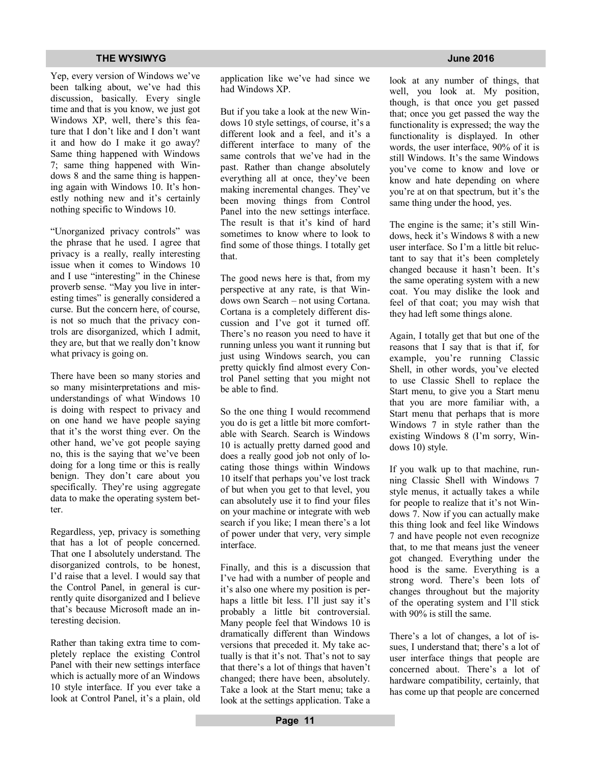Yep, every version of Windows we've been talking about, we've had this discussion, basically. Every single time and that is you know, we just got Windows XP, well, there's this feature that I don't like and I don't want it and how do I make it go away? Same thing happened with Windows 7; same thing happened with Windows 8 and the same thing is happening again with Windows 10. It's honestly nothing new and it's certainly nothing specific to Windows 10.

"Unorganized privacy controls" was the phrase that he used. I agree that privacy is a really, really interesting issue when it comes to Windows 10 and I use "interesting" in the Chinese proverb sense. "May you live in interesting times" is generally considered a curse. But the concern here, of course, is not so much that the privacy controls are disorganized, which I admit, they are, but that we really don't know what privacy is going on.

There have been so many stories and so many misinterpretations and misunderstandings of what Windows 10 is doing with respect to privacy and on one hand we have people saying that it's the worst thing ever. On the other hand, we've got people saying no, this is the saying that we've been doing for a long time or this is really benign. They don't care about you specifically. They're using aggregate data to make the operating system better.

Regardless, yep, privacy is something that has a lot of people concerned. That one I absolutely understand. The disorganized controls, to be honest, I'd raise that a level. I would say that the Control Panel, in general is currently quite disorganized and I believe that's because Microsoft made an interesting decision.

Rather than taking extra time to completely replace the existing Control Panel with their new settings interface which is actually more of an Windows 10 style interface. If you ever take a look at Control Panel, it's a plain, old application like we've had since we had Windows XP.

But if you take a look at the new Windows 10 style settings, of course, it's a different look and a feel, and it's a different interface to many of the same controls that we've had in the past. Rather than change absolutely everything all at once, they've been making incremental changes. They've been moving things from Control Panel into the new settings interface. The result is that it's kind of hard sometimes to know where to look to find some of those things. I totally get that.

The good news here is that, from my perspective at any rate, is that Windows own Search – not using Cortana. Cortana is a completely different discussion and I've got it turned off. There's no reason you need to have it running unless you want it running but just using Windows search, you can pretty quickly find almost every Control Panel setting that you might not be able to find.

So the one thing I would recommend you do is get a little bit more comfortable with Search. Search is Windows 10 is actually pretty darned good and does a really good job not only of locating those things within Windows 10 itself that perhaps you've lost track of but when you get to that level, you can absolutely use it to find your files on your machine or integrate with web search if you like; I mean there's a lot of power under that very, very simple interface.

Finally, and this is a discussion that I've had with a number of people and it's also one where my position is perhaps a little bit less. I'll just say it's probably a little bit controversial. Many people feel that Windows 10 is dramatically different than Windows versions that preceded it. My take actually is that it's not. That's not to say that there's a lot of things that haven't changed; there have been, absolutely. Take a look at the Start menu; take a look at the settings application. Take a

look at any number of things, that well, you look at. My position, though, is that once you get passed that; once you get passed the way the functionality is expressed; the way the functionality is displayed. In other words, the user interface, 90% of it is still Windows. It's the same Windows you've come to know and love or know and hate depending on where you're at on that spectrum, but it's the same thing under the hood, yes.

The engine is the same; it's still Windows, heck it's Windows 8 with a new user interface. So I'm a little bit reluctant to say that it's been completely changed because it hasn't been. It's the same operating system with a new coat. You may dislike the look and feel of that coat; you may wish that they had left some things alone.

Again, I totally get that but one of the reasons that I say that is that if, for example, you're running Classic Shell, in other words, you've elected to use Classic Shell to replace the Start menu, to give you a Start menu that you are more familiar with, a Start menu that perhaps that is more Windows 7 in style rather than the existing Windows 8 (I'm sorry, Windows 10) style.

If you walk up to that machine, running Classic Shell with Windows 7 style menus, it actually takes a while for people to realize that it's not Windows 7. Now if you can actually make this thing look and feel like Windows 7 and have people not even recognize that, to me that means just the veneer got changed. Everything under the hood is the same. Everything is a strong word. There's been lots of changes throughout but the majority of the operating system and I'll stick with 90% is still the same.

There's a lot of changes, a lot of issues, I understand that; there's a lot of user interface things that people are concerned about. There's a lot of hardware compatibility, certainly, that has come up that people are concerned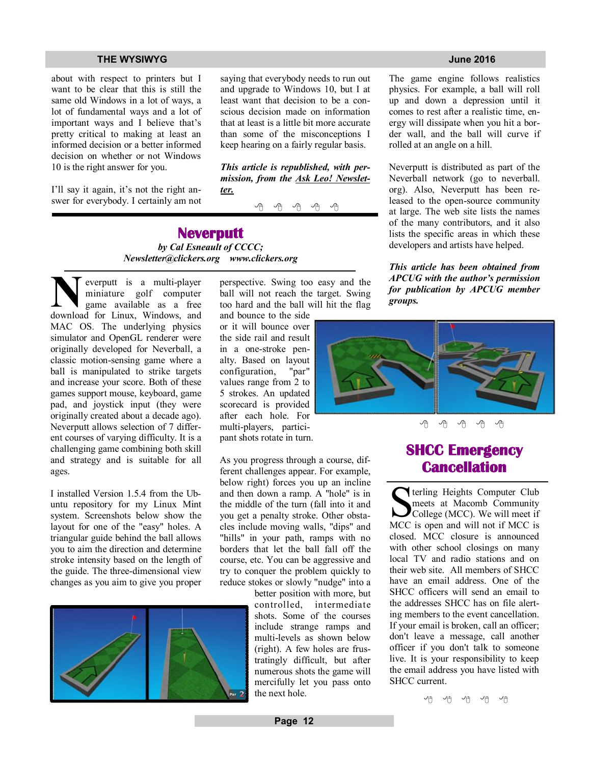about with respect to printers but I want to be clear that this is still the same old Windows in a lot of ways, a lot of fundamental ways and a lot of important ways and I believe that's pretty critical to making at least an informed decision or a better informed decision on whether or not Windows 10 is the right answer for you.

I'll say it again, it's not the right answer for everybody. I certainly am not saying that everybody needs to run out and upgrade to Windows 10, but I at least want that decision to be a conscious decision made on information that at least is a little bit more accurate than some of the misconceptions I keep hearing on a fairly regular basis.

*This article is republished, with permission, from the Ask Leo! Newsletter.* 

A A A A A

**Neverputt**  *by Cal Esneault of CCCC; Newsletter@clickers.org www.clickers.org*

**N**everputt is a multi-player
miniature golf computer
game
available
as
a
free
download
for
Linux,
Windows,
and everputt is a multi-player miniature golf computer game available as a free MAC OS. The underlying physics simulator and OpenGL renderer were originally developed for Neverball, a classic motion-sensing game where a ball is manipulated to strike targets and increase your score. Both of these games support mouse, keyboard, game pad, and joystick input (they were originally created about a decade ago). Neverputt allows selection of 7 different courses of varying difficulty. It is a challenging game combining both skill and strategy and is suitable for all ages.

I installed Version 1.5.4 from the Ubuntu repository for my Linux Mint system. Screenshots below show the layout for one of the "easy" holes. A triangular guide behind the ball allows you to aim the direction and determine stroke intensity based on the length of the guide. The three-dimensional view changes as you aim to give you proper



perspective. Swing too easy and the ball will not reach the target. Swing too hard and the ball will hit the flag

and bounce to the side or it will bounce over the side rail and result in a one-stroke penalty. Based on layout configuration, "par" configuration, values range from 2 to 5 strokes. An updated scorecard is provided after each hole. For multi-players, participant shots rotate in turn.

As you progress through a course, different challenges appear. For example, below right) forces you up an incline and then down a ramp. A "hole" is in the middle of the turn (fall into it and you get a penalty stroke. Other obstacles include moving walls, "dips" and "hills" in your path, ramps with no borders that let the ball fall off the course, etc. You can be aggressive and try to conquer the problem quickly to reduce stokes or slowly "nudge" into a

better position with more, but controlled, intermediate shots. Some of the courses include strange ramps and multi-levels as shown below (right). A few holes are frustratingly difficult, but after numerous shots the game will mercifully let you pass onto the next hole.

The game engine follows realistics physics. For example, a ball will roll up and down a depression until it comes to rest after a realistic time, energy will dissipate when you hit a border wall, and the ball will curve if rolled at an angle on a hill.

Neverputt is distributed as part of the Neverball network (go to neverball. org). Also, Neverputt has been released to the open-source community at large. The web site lists the names of the many contributors, and it also lists the specific areas in which these developers and artists have helped.

*This article has been obtained from APCUG with the author's permission for publication by APCUG member groups.*



## **SHCC Emergency Cancellation**

 Serling Heights Computer Club<br>
meets at Macomb Community<br>
College (MCC). We will meet if<br>
MCC is open and will not if MCC is terling Heights Computer Club meets at Macomb Community College (MCC). We will meet if closed. MCC closure is announced with other school closings on many local TV and radio stations and on their web site. All members of SHCC have an email address. One of the SHCC officers will send an email to the addresses SHCC has on file alerting members to the event cancellation. If your email is broken, call an officer; don't leave a message, call another officer if you don't talk to someone live. It is your responsibility to keep the email address you have listed with SHCC current.

서 서 서 서 서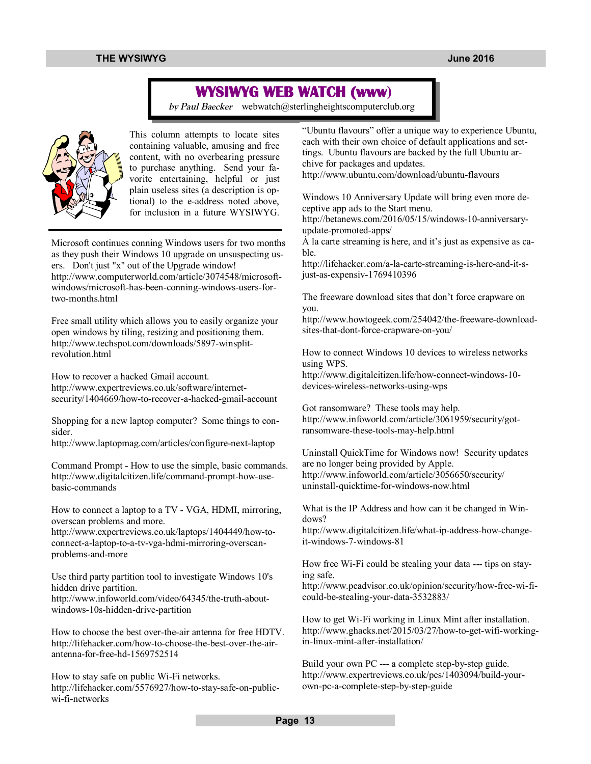## **WYSIWYG WEB WATCH (www)**

*by Paul Baecker* webwatch@sterlingheightscomputerclub.org



This column attempts to locate sites containing valuable, amusing and free content, with no overbearing pressure to purchase anything. Send your favorite entertaining, helpful or just plain useless sites (a description is optional) to the e-address noted above, for inclusion in a future WYSIWYG.

Microsoft continues conning Windows users for two months as they push their Windows 10 upgrade on unsuspecting users. Don't just "x" out of the Upgrade window! http://www.computerworld.com/article/3074548/microsoftwindows/microsoft-has-been-conning-windows-users-fortwo-months.html

Free small utility which allows you to easily organize your open windows by tiling, resizing and positioning them. http://www.techspot.com/downloads/5897-winsplitrevolution.html

How to recover a hacked Gmail account. http://www.expertreviews.co.uk/software/internetsecurity/1404669/how-to-recover-a-hacked-gmail-account

Shopping for a new laptop computer? Some things to consider.

http://www.laptopmag.com/articles/configure-next-laptop

Command Prompt - How to use the simple, basic commands. http://www.digitalcitizen.life/command-prompt-how-usebasic-commands

How to connect a laptop to a TV - VGA, HDMI, mirroring, overscan problems and more.

http://www.expertreviews.co.uk/laptops/1404449/how-toconnect-a-laptop-to-a-tv-vga-hdmi-mirroring-overscanproblems-and-more

Use third party partition tool to investigate Windows 10's hidden drive partition.

http://www.infoworld.com/video/64345/the-truth-aboutwindows-10s-hidden-drive-partition

How to choose the best over-the-air antenna for free HDTV. http://lifehacker.com/how-to-choose-the-best-over-the-airantenna-for-free-hd-1569752514

How to stay safe on public Wi-Fi networks. http://lifehacker.com/5576927/how-to-stay-safe-on-publicwi-fi-networks

"Ubuntu flavours" offer a unique way to experience Ubuntu, each with their own choice of default applications and settings. Ubuntu flavours are backed by the full Ubuntu archive for packages and updates.

http://www.ubuntu.com/download/ubuntu-flavours

Windows 10 Anniversary Update will bring even more deceptive app ads to the Start menu.

http://betanews.com/2016/05/15/windows-10-anniversaryupdate-promoted-apps/

À la carte streaming is here, and it's just as expensive as cable.

http://lifehacker.com/a-la-carte-streaming-is-here-and-it-sjust-as-expensiv-1769410396

The freeware download sites that don't force crapware on you.

http://www.howtogeek.com/254042/the-freeware-downloadsites-that-dont-force-crapware-on-you/

How to connect Windows 10 devices to wireless networks using WPS.

http://www.digitalcitizen.life/how-connect-windows-10 devices-wireless-networks-using-wps

Got ransomware? These tools may help. http://www.infoworld.com/article/3061959/security/gotransomware-these-tools-may-help.html

Uninstall QuickTime for Windows now! Security updates are no longer being provided by Apple. http://www.infoworld.com/article/3056650/security/ uninstall-quicktime-for-windows-now.html

What is the IP Address and how can it be changed in Windows?

http://www.digitalcitizen.life/what-ip-address-how-changeit-windows-7-windows-81

How free Wi-Fi could be stealing your data --- tips on staying safe.

http://www.pcadvisor.co.uk/opinion/security/how-free-wi-ficould-be-stealing-your-data-3532883/

How to get Wi-Fi working in Linux Mint after installation. http://www.ghacks.net/2015/03/27/how-to-get-wifi-workingin-linux-mint-after-installation/

Build your own PC --- a complete step-by-step guide. http://www.expertreviews.co.uk/pcs/1403094/build-yourown-pc-a-complete-step-by-step-guide